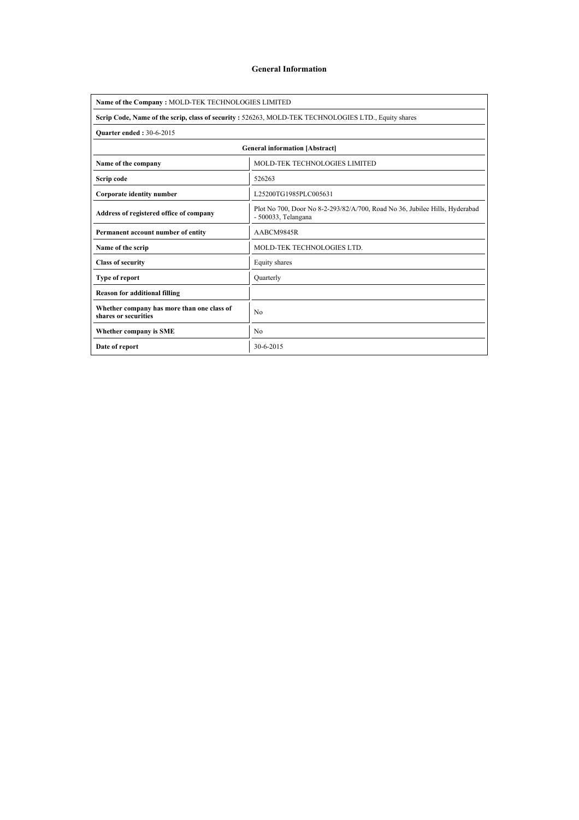### General Information

| Name of the Company: MOLD-TEK TECHNOLOGIES LIMITED                                                   |                                                                                                    |  |  |  |  |  |  |  |
|------------------------------------------------------------------------------------------------------|----------------------------------------------------------------------------------------------------|--|--|--|--|--|--|--|
| Scrip Code, Name of the scrip, class of security : 526263, MOLD-TEK TECHNOLOGIES LTD., Equity shares |                                                                                                    |  |  |  |  |  |  |  |
| <b>Ouarter ended: 30-6-2015</b>                                                                      |                                                                                                    |  |  |  |  |  |  |  |
| <b>General information [Abstract]</b>                                                                |                                                                                                    |  |  |  |  |  |  |  |
| Name of the company                                                                                  | <b>MOLD-TEK TECHNOLOGIES LIMITED</b>                                                               |  |  |  |  |  |  |  |
| Scrip code                                                                                           | 526263                                                                                             |  |  |  |  |  |  |  |
| Corporate identity number                                                                            | L25200TG1985PLC005631                                                                              |  |  |  |  |  |  |  |
| Address of registered office of company                                                              | Plot No 700, Door No 8-2-293/82/A/700, Road No 36, Jubilee Hills, Hyderabad<br>- 500033, Telangana |  |  |  |  |  |  |  |
| Permanent account number of entity                                                                   | AABCM9845R                                                                                         |  |  |  |  |  |  |  |
| Name of the scrip                                                                                    | MOLD-TEK TECHNOLOGIES LTD.                                                                         |  |  |  |  |  |  |  |
| <b>Class of security</b>                                                                             | Equity shares                                                                                      |  |  |  |  |  |  |  |
| <b>Type of report</b>                                                                                | Ouarterly                                                                                          |  |  |  |  |  |  |  |
| <b>Reason for additional filling</b>                                                                 |                                                                                                    |  |  |  |  |  |  |  |
| Whether company has more than one class of<br>shares or securities                                   | N <sub>0</sub>                                                                                     |  |  |  |  |  |  |  |
| Whether company is SME                                                                               | N <sub>0</sub>                                                                                     |  |  |  |  |  |  |  |
| Date of report                                                                                       | 30-6-2015                                                                                          |  |  |  |  |  |  |  |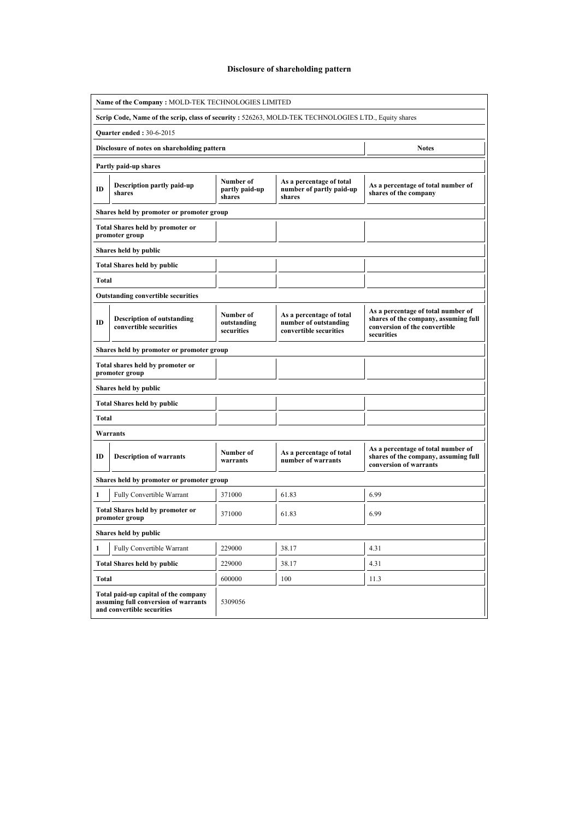# Disclosure of shareholding pattern

| Name of the Company: MOLD-TEK TECHNOLOGIES LIMITED                                                         |                                           |                                                                             |                                                                                                                           |  |  |  |  |  |  |  |
|------------------------------------------------------------------------------------------------------------|-------------------------------------------|-----------------------------------------------------------------------------|---------------------------------------------------------------------------------------------------------------------------|--|--|--|--|--|--|--|
| Scrip Code, Name of the scrip, class of security : 526263, MOLD-TEK TECHNOLOGIES LTD., Equity shares       |                                           |                                                                             |                                                                                                                           |  |  |  |  |  |  |  |
| <b>Quarter ended: 30-6-2015</b>                                                                            |                                           |                                                                             |                                                                                                                           |  |  |  |  |  |  |  |
| Disclosure of notes on shareholding pattern                                                                |                                           |                                                                             | <b>Notes</b>                                                                                                              |  |  |  |  |  |  |  |
| Partly paid-up shares                                                                                      |                                           |                                                                             |                                                                                                                           |  |  |  |  |  |  |  |
| Description partly paid-up<br>ID<br>shares                                                                 | Number of<br>partly paid-up<br>shares     | As a percentage of total<br>number of partly paid-up<br>shares              | As a percentage of total number of<br>shares of the company                                                               |  |  |  |  |  |  |  |
|                                                                                                            | Shares held by promoter or promoter group |                                                                             |                                                                                                                           |  |  |  |  |  |  |  |
| <b>Total Shares held by promoter or</b><br>promoter group                                                  |                                           |                                                                             |                                                                                                                           |  |  |  |  |  |  |  |
| Shares held by public                                                                                      |                                           |                                                                             |                                                                                                                           |  |  |  |  |  |  |  |
| <b>Total Shares held by public</b>                                                                         |                                           |                                                                             |                                                                                                                           |  |  |  |  |  |  |  |
| Total                                                                                                      |                                           |                                                                             |                                                                                                                           |  |  |  |  |  |  |  |
| <b>Outstanding convertible securities</b>                                                                  |                                           |                                                                             |                                                                                                                           |  |  |  |  |  |  |  |
| <b>Description of outstanding</b><br>ID<br>convertible securities                                          | Number of<br>outstanding<br>securities    | As a percentage of total<br>number of outstanding<br>convertible securities | As a percentage of total number of<br>shares of the company, assuming full<br>conversion of the convertible<br>securities |  |  |  |  |  |  |  |
| Shares held by promoter or promoter group                                                                  |                                           |                                                                             |                                                                                                                           |  |  |  |  |  |  |  |
| Total shares held by promoter or<br>promoter group                                                         |                                           |                                                                             |                                                                                                                           |  |  |  |  |  |  |  |
| Shares held by public                                                                                      |                                           |                                                                             |                                                                                                                           |  |  |  |  |  |  |  |
| <b>Total Shares held by public</b>                                                                         |                                           |                                                                             |                                                                                                                           |  |  |  |  |  |  |  |
| Total                                                                                                      |                                           |                                                                             |                                                                                                                           |  |  |  |  |  |  |  |
| Warrants                                                                                                   |                                           |                                                                             |                                                                                                                           |  |  |  |  |  |  |  |
| ID<br><b>Description of warrants</b>                                                                       | Number of<br>warrants                     | As a percentage of total<br>number of warrants                              | As a percentage of total number of<br>shares of the company, assuming full<br>conversion of warrants                      |  |  |  |  |  |  |  |
| Shares held by promoter or promoter group                                                                  |                                           |                                                                             |                                                                                                                           |  |  |  |  |  |  |  |
| 1<br><b>Fully Convertible Warrant</b>                                                                      | 371000                                    | 61.83                                                                       | 6.99                                                                                                                      |  |  |  |  |  |  |  |
| <b>Total Shares held by promoter or</b><br>promoter group                                                  | 371000                                    | 61.83                                                                       | 6.99                                                                                                                      |  |  |  |  |  |  |  |
| Shares held by public                                                                                      |                                           |                                                                             |                                                                                                                           |  |  |  |  |  |  |  |
| Fully Convertible Warrant<br>1                                                                             | 229000                                    | 38.17                                                                       | 4.31                                                                                                                      |  |  |  |  |  |  |  |
| <b>Total Shares held by public</b>                                                                         | 229000                                    | 38.17                                                                       | 4.31                                                                                                                      |  |  |  |  |  |  |  |
| <b>Total</b>                                                                                               | 600000                                    | 100                                                                         | 11.3                                                                                                                      |  |  |  |  |  |  |  |
| Total paid-up capital of the company<br>assuming full conversion of warrants<br>and convertible securities | 5309056                                   |                                                                             |                                                                                                                           |  |  |  |  |  |  |  |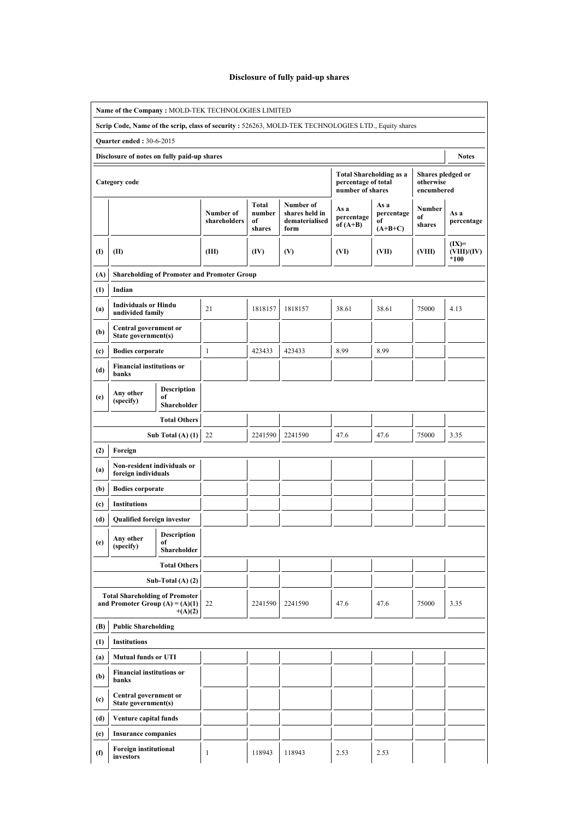# Disclosure of fully paid-up shares

|                                   | Name of the Company: MOLD-TEK TECHNOLOGIES LIMITED                         |                                         |                                                    |                                 |                                                                                                      |                                         |                                       |                                              |                                  |
|-----------------------------------|----------------------------------------------------------------------------|-----------------------------------------|----------------------------------------------------|---------------------------------|------------------------------------------------------------------------------------------------------|-----------------------------------------|---------------------------------------|----------------------------------------------|----------------------------------|
|                                   |                                                                            |                                         |                                                    |                                 | Scrip Code, Name of the scrip, class of security : 526263, MOLD-TEK TECHNOLOGIES LTD., Equity shares |                                         |                                       |                                              |                                  |
|                                   | <b>Quarter ended: 30-6-2015</b>                                            |                                         |                                                    |                                 |                                                                                                      |                                         |                                       |                                              |                                  |
|                                   | Disclosure of notes on fully paid-up shares                                |                                         |                                                    |                                 |                                                                                                      |                                         |                                       |                                              | <b>Notes</b>                     |
|                                   | Category code                                                              |                                         |                                                    |                                 |                                                                                                      | percentage of total<br>number of shares | <b>Total Shareholding as a</b>        | Shares pledged or<br>otherwise<br>encumbered |                                  |
|                                   |                                                                            |                                         | Number of<br>shareholders                          | Total<br>number<br>of<br>shares | Number of<br>shares held in<br>dematerialised<br>form                                                | As a<br>percentage<br>of $(A+B)$        | As a<br>percentage<br>of<br>$(A+B+C)$ | Number<br>of<br>shares                       | As a<br>percentage               |
| $($ I                             | (II)                                                                       |                                         | (III)                                              | (IV)                            | (V)                                                                                                  | (VI)                                    | (VII)                                 | (VIII)                                       | $(IX)=$<br>(VIII)/(IV)<br>$*100$ |
| (A)                               |                                                                            |                                         | <b>Shareholding of Promoter and Promoter Group</b> |                                 |                                                                                                      |                                         |                                       |                                              |                                  |
| (1)                               | Indian                                                                     |                                         |                                                    |                                 |                                                                                                      |                                         |                                       |                                              |                                  |
| (a)                               | <b>Individuals or Hindu</b><br>undivided family                            |                                         | 21                                                 | 1818157                         | 1818157                                                                                              | 38.61                                   | 38.61                                 | 75000                                        | 4.13                             |
| (b)                               | Central government or<br>State government(s)                               |                                         |                                                    |                                 |                                                                                                      |                                         |                                       |                                              |                                  |
| (c)                               | <b>Bodies corporate</b>                                                    |                                         | $\mathbf{1}$                                       | 423433                          | 423433                                                                                               | 8.99                                    | 8.99                                  |                                              |                                  |
| (d)                               | <b>Financial institutions or</b><br>banks                                  |                                         |                                                    |                                 |                                                                                                      |                                         |                                       |                                              |                                  |
| (e)                               | Any other<br>(specify)                                                     | Description<br>of<br>Shareholder        |                                                    |                                 |                                                                                                      |                                         |                                       |                                              |                                  |
|                                   |                                                                            | <b>Total Others</b>                     |                                                    |                                 |                                                                                                      |                                         |                                       |                                              |                                  |
|                                   |                                                                            | Sub Total $(A)$ $(1)$                   | 22                                                 | 2241590                         | 2241590                                                                                              | 47.6                                    | 47.6                                  | 75000                                        | 3.35                             |
| (2)                               | Foreign                                                                    |                                         |                                                    |                                 |                                                                                                      |                                         |                                       |                                              |                                  |
| (a)                               | Non-resident individuals or<br>foreign individuals                         |                                         |                                                    |                                 |                                                                                                      |                                         |                                       |                                              |                                  |
| (b)                               | <b>Bodies corporate</b>                                                    |                                         |                                                    |                                 |                                                                                                      |                                         |                                       |                                              |                                  |
| (c)                               | <b>Institutions</b>                                                        |                                         |                                                    |                                 |                                                                                                      |                                         |                                       |                                              |                                  |
| (d)                               | Qualified foreign investor                                                 |                                         |                                                    |                                 |                                                                                                      |                                         |                                       |                                              |                                  |
| (e)                               | Any other<br>(specify)                                                     | <b>Description</b><br>of<br>Shareholder |                                                    |                                 |                                                                                                      |                                         |                                       |                                              |                                  |
|                                   |                                                                            | <b>Total Others</b>                     |                                                    |                                 |                                                                                                      |                                         |                                       |                                              |                                  |
|                                   |                                                                            | Sub-Total $(A)$ $(2)$                   |                                                    |                                 |                                                                                                      |                                         |                                       |                                              |                                  |
|                                   | <b>Total Shareholding of Promoter</b><br>and Promoter Group $(A) = (A)(1)$ | $+(A)(2)$                               | 22                                                 | 2241590                         | 2241590                                                                                              | 47.6                                    | 47.6                                  | 75000                                        | 3.35                             |
| (B)<br><b>Public Shareholding</b> |                                                                            |                                         |                                                    |                                 |                                                                                                      |                                         |                                       |                                              |                                  |
| (1)<br><b>Institutions</b>        |                                                                            |                                         |                                                    |                                 |                                                                                                      |                                         |                                       |                                              |                                  |
| (a)                               | <b>Mutual funds or UTI</b>                                                 |                                         |                                                    |                                 |                                                                                                      |                                         |                                       |                                              |                                  |
| (b)                               | <b>Financial institutions or</b><br>banks                                  |                                         |                                                    |                                 |                                                                                                      |                                         |                                       |                                              |                                  |
| (c)                               | Central government or<br>State government(s)                               |                                         |                                                    |                                 |                                                                                                      |                                         |                                       |                                              |                                  |
| (d)                               | Venture capital funds                                                      |                                         |                                                    |                                 |                                                                                                      |                                         |                                       |                                              |                                  |
| (e)                               | <b>Insurance companies</b>                                                 |                                         |                                                    |                                 |                                                                                                      |                                         |                                       |                                              |                                  |
| (f)                               | <b>Foreign institutional</b><br>investors                                  |                                         | $\mathbf{1}$                                       | 118943                          | 118943                                                                                               | 2.53                                    | 2.53                                  |                                              |                                  |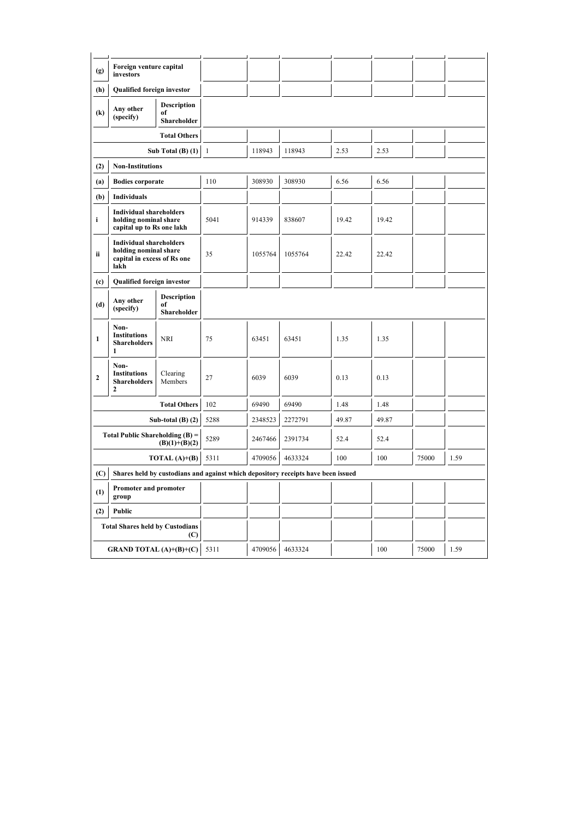| (g)                                                  | Foreign venture capital<br>investors                                                           |                                         |              |         |         |       |       |       |      |  |
|------------------------------------------------------|------------------------------------------------------------------------------------------------|-----------------------------------------|--------------|---------|---------|-------|-------|-------|------|--|
| (h)                                                  | <b>Qualified foreign investor</b>                                                              |                                         |              |         |         |       |       |       |      |  |
| $\left( \mathbf{k}\right)$                           | <b>Description</b><br>Any other<br>of<br>(specify)<br>Shareholder                              |                                         |              |         |         |       |       |       |      |  |
|                                                      |                                                                                                | <b>Total Others</b>                     |              |         |         |       |       |       |      |  |
|                                                      |                                                                                                | Sub Total $(B)$ $(1)$                   | $\mathbf{1}$ | 118943  | 118943  | 2.53  | 2.53  |       |      |  |
| (2)                                                  | <b>Non-Institutions</b>                                                                        |                                         |              |         |         |       |       |       |      |  |
| (a)                                                  | <b>Bodies corporate</b>                                                                        |                                         | 110          | 308930  | 308930  | 6.56  | 6.56  |       |      |  |
| (b)                                                  | Individuals                                                                                    |                                         |              |         |         |       |       |       |      |  |
| i                                                    | <b>Individual shareholders</b><br>holding nominal share<br>capital up to Rs one lakh           |                                         | 5041         | 914339  | 838607  | 19.42 | 19.42 |       |      |  |
| ii                                                   | <b>Individual shareholders</b><br>holding nominal share<br>capital in excess of Rs one<br>lakh |                                         | 35           | 1055764 | 1055764 | 22.42 | 22.42 |       |      |  |
| (c)                                                  | Qualified foreign investor                                                                     |                                         |              |         |         |       |       |       |      |  |
| (d)                                                  | Any other<br>(specify)                                                                         | <b>Description</b><br>of<br>Shareholder |              |         |         |       |       |       |      |  |
| $\mathbf{1}$                                         | Non-<br><b>Institutions</b><br><b>Shareholders</b><br>1                                        | <b>NRI</b>                              | 75           | 63451   | 63451   | 1.35  | 1.35  |       |      |  |
| $\mathbf{2}$                                         | Non-<br><b>Institutions</b><br><b>Shareholders</b><br>$\mathbf{2}$                             | Clearing<br>Members                     | 27           | 6039    | 6039    | 0.13  | 0.13  |       |      |  |
|                                                      |                                                                                                | <b>Total Others</b>                     | 102          | 69490   | 69490   | 1.48  | 1.48  |       |      |  |
|                                                      |                                                                                                | Sub-total $(B)$ $(2)$                   | 5288         | 2348523 | 2272791 | 49.87 | 49.87 |       |      |  |
| Total Public Shareholding $(B)$ =<br>$(B)(1)+(B)(2)$ |                                                                                                |                                         | 5289         | 2467466 | 2391734 | 52.4  | 52.4  |       |      |  |
| TOTAL $(A)+(B)$                                      |                                                                                                |                                         | 5311         | 4709056 | 4633324 | 100   | 100   | 75000 | 1.59 |  |
| (C)                                                  | Shares held by custodians and against which depository receipts have been issued               |                                         |              |         |         |       |       |       |      |  |
| <b>Promoter and promoter</b><br>(1)<br>group         |                                                                                                |                                         |              |         |         |       |       |       |      |  |
| (2)<br>Public                                        |                                                                                                |                                         |              |         |         |       |       |       |      |  |
|                                                      | <b>Total Shares held by Custodians</b>                                                         | (C)                                     |              |         |         |       |       |       |      |  |
|                                                      | <b>GRAND TOTAL</b> (A)+(B)+(C) $\vert$                                                         |                                         | 5311         | 4709056 | 4633324 |       | 100   | 75000 | 1.59 |  |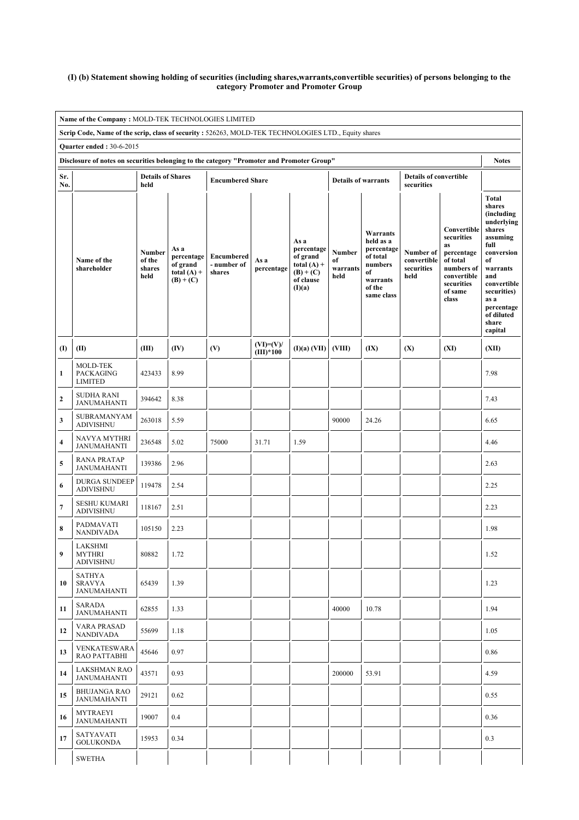#### (I) (b) Statement showing holding of securities (including shares,warrants,convertible securities) of persons belonging to the category Promoter and Promoter Group

|                                                                                                      | Name of the Company: MOLD-TEK TECHNOLOGIES LIMITED                                        |                                           |                                                                |                                     |                            |                                                                                       |                                  |                                                                                                      |                                                |                                                                                                                          |                                                                                                                                                                                                               |  |  |
|------------------------------------------------------------------------------------------------------|-------------------------------------------------------------------------------------------|-------------------------------------------|----------------------------------------------------------------|-------------------------------------|----------------------------|---------------------------------------------------------------------------------------|----------------------------------|------------------------------------------------------------------------------------------------------|------------------------------------------------|--------------------------------------------------------------------------------------------------------------------------|---------------------------------------------------------------------------------------------------------------------------------------------------------------------------------------------------------------|--|--|
| Scrip Code, Name of the scrip, class of security : 526263, MOLD-TEK TECHNOLOGIES LTD., Equity shares |                                                                                           |                                           |                                                                |                                     |                            |                                                                                       |                                  |                                                                                                      |                                                |                                                                                                                          |                                                                                                                                                                                                               |  |  |
|                                                                                                      | <b>Quarter ended: 30-6-2015</b>                                                           |                                           |                                                                |                                     |                            |                                                                                       |                                  |                                                                                                      |                                                |                                                                                                                          |                                                                                                                                                                                                               |  |  |
|                                                                                                      | Disclosure of notes on securities belonging to the category "Promoter and Promoter Group" |                                           |                                                                |                                     |                            |                                                                                       |                                  |                                                                                                      |                                                |                                                                                                                          | <b>Notes</b>                                                                                                                                                                                                  |  |  |
| Sr.<br>No.                                                                                           |                                                                                           | <b>Details of Shares</b><br>held          |                                                                | <b>Encumbered Share</b>             |                            |                                                                                       | <b>Details of warrants</b>       |                                                                                                      | <b>Details of convertible</b><br>securities    |                                                                                                                          |                                                                                                                                                                                                               |  |  |
|                                                                                                      | Name of the<br>shareholder                                                                | <b>Number</b><br>of the<br>shares<br>held | As a<br>percentage<br>of grand<br>total $(A)$ +<br>$(B) + (C)$ | Encumbered<br>- number of<br>shares | As a<br>percentage         | As a<br>percentage<br>of grand<br>total $(A)$ +<br>$(B) + (C)$<br>of clause<br>(I)(a) | Number<br>of<br>warrants<br>held | Warrants<br>held as a<br>percentage<br>of total<br>numbers<br>of<br>warrants<br>of the<br>same class | Number of<br>convertible<br>securities<br>held | Convertible<br>securities<br>as<br>percentage<br>of total<br>numbers of<br>convertible<br>securities<br>of same<br>class | <b>Total</b><br>shares<br>(including<br>underlying<br>shares<br>assuming<br>full<br>conversion<br>of<br>warrants<br>and<br>convertible<br>securities)<br>as a<br>percentage<br>of diluted<br>share<br>capital |  |  |
| $\textbf{(I)}$                                                                                       | (II)                                                                                      | (III)                                     | (IV)                                                           | (V)                                 | $(VI)=(V)/$<br>$(III)*100$ | (I)(a) (VII)                                                                          | (VIII)                           | (IX)                                                                                                 | (X)                                            | (XI)                                                                                                                     | (XII)                                                                                                                                                                                                         |  |  |
| 1                                                                                                    | <b>MOLD-TEK</b><br><b>PACKAGING</b><br><b>LIMITED</b>                                     | 423433                                    | 8.99                                                           |                                     |                            |                                                                                       |                                  |                                                                                                      |                                                |                                                                                                                          | 7.98                                                                                                                                                                                                          |  |  |
| $\mathbf 2$                                                                                          | <b>SUDHA RANI</b><br><b>JANUMAHANTI</b>                                                   | 394642                                    | 8.38                                                           |                                     |                            |                                                                                       |                                  |                                                                                                      |                                                |                                                                                                                          | 7.43                                                                                                                                                                                                          |  |  |
| 3                                                                                                    | SUBRAMANYAM<br><b>ADIVISHNU</b>                                                           | 263018                                    | 5.59                                                           |                                     |                            |                                                                                       | 90000                            | 24.26                                                                                                |                                                |                                                                                                                          | 6.65                                                                                                                                                                                                          |  |  |
| 4                                                                                                    | <b>NAVYA MYTHRI</b><br><b>JANUMAHANTI</b>                                                 | 236548                                    | 5.02                                                           | 75000                               | 31.71                      | 1.59                                                                                  |                                  |                                                                                                      |                                                |                                                                                                                          | 4.46                                                                                                                                                                                                          |  |  |
| 5                                                                                                    | <b>RANA PRATAP</b><br><b>JANUMAHANTI</b>                                                  | 139386                                    | 2.96                                                           |                                     |                            |                                                                                       |                                  |                                                                                                      |                                                |                                                                                                                          | 2.63                                                                                                                                                                                                          |  |  |
| 6                                                                                                    | <b>DURGA SUNDEEP</b><br><b>ADIVISHNU</b>                                                  | 119478                                    | 2.54                                                           |                                     |                            |                                                                                       |                                  |                                                                                                      |                                                |                                                                                                                          | 2.25                                                                                                                                                                                                          |  |  |
| 7                                                                                                    | <b>SESHU KUMARI</b><br><b>ADIVISHNU</b>                                                   | 118167                                    | 2.51                                                           |                                     |                            |                                                                                       |                                  |                                                                                                      |                                                |                                                                                                                          | 2.23                                                                                                                                                                                                          |  |  |
| 8                                                                                                    | PADMAVATI<br><b>NANDIVADA</b>                                                             | 105150                                    | 2.23                                                           |                                     |                            |                                                                                       |                                  |                                                                                                      |                                                |                                                                                                                          | 1.98                                                                                                                                                                                                          |  |  |
| 9                                                                                                    | LAKSHMI<br><b>MYTHRI</b><br><b>ADIVISHNU</b>                                              | 80882                                     | 1.72                                                           |                                     |                            |                                                                                       |                                  |                                                                                                      |                                                |                                                                                                                          | 1.52                                                                                                                                                                                                          |  |  |
| 10                                                                                                   | <b>SATHYA</b><br><b>SRAVYA</b><br><b>JANUMAHANTI</b>                                      | 65439                                     | 1.39                                                           |                                     |                            |                                                                                       |                                  |                                                                                                      |                                                |                                                                                                                          | 1.23                                                                                                                                                                                                          |  |  |
| 11                                                                                                   | SARADA<br><b>JANUMAHANTI</b>                                                              | 62855                                     | 1.33                                                           |                                     |                            |                                                                                       | 40000                            | 10.78                                                                                                |                                                |                                                                                                                          | 1.94                                                                                                                                                                                                          |  |  |
| 12                                                                                                   | VARA PRASAD<br><b>NANDIVADA</b>                                                           | 55699                                     | 1.18                                                           |                                     |                            |                                                                                       |                                  |                                                                                                      |                                                |                                                                                                                          | 1.05                                                                                                                                                                                                          |  |  |
| 13                                                                                                   | <b>VENKATESWARA</b><br>RAO PATTABHI                                                       | 45646                                     | 0.97                                                           |                                     |                            |                                                                                       |                                  |                                                                                                      |                                                |                                                                                                                          | 0.86                                                                                                                                                                                                          |  |  |
| 14                                                                                                   | <b>LAKSHMAN RAO</b><br><b>JANUMAHANTI</b>                                                 | 43571                                     | 0.93                                                           |                                     |                            |                                                                                       | 200000                           | 53.91                                                                                                |                                                |                                                                                                                          | 4.59                                                                                                                                                                                                          |  |  |
| 15                                                                                                   | <b>BHUJANGA RAO</b><br><b>JANUMAHANTI</b>                                                 | 29121                                     | 0.62                                                           |                                     |                            |                                                                                       |                                  |                                                                                                      |                                                |                                                                                                                          | 0.55                                                                                                                                                                                                          |  |  |
| 16                                                                                                   | <b>MYTRAEYI</b><br>JANUMAHANTI                                                            | 19007                                     | 0.4                                                            |                                     |                            |                                                                                       |                                  |                                                                                                      |                                                |                                                                                                                          | 0.36                                                                                                                                                                                                          |  |  |
| 17                                                                                                   | SATYAVATI<br><b>GOLUKONDA</b>                                                             | 15953                                     | 0.34                                                           |                                     |                            |                                                                                       |                                  |                                                                                                      |                                                |                                                                                                                          | 0.3                                                                                                                                                                                                           |  |  |
|                                                                                                      | <b>SWETHA</b>                                                                             |                                           |                                                                |                                     |                            |                                                                                       |                                  |                                                                                                      |                                                |                                                                                                                          |                                                                                                                                                                                                               |  |  |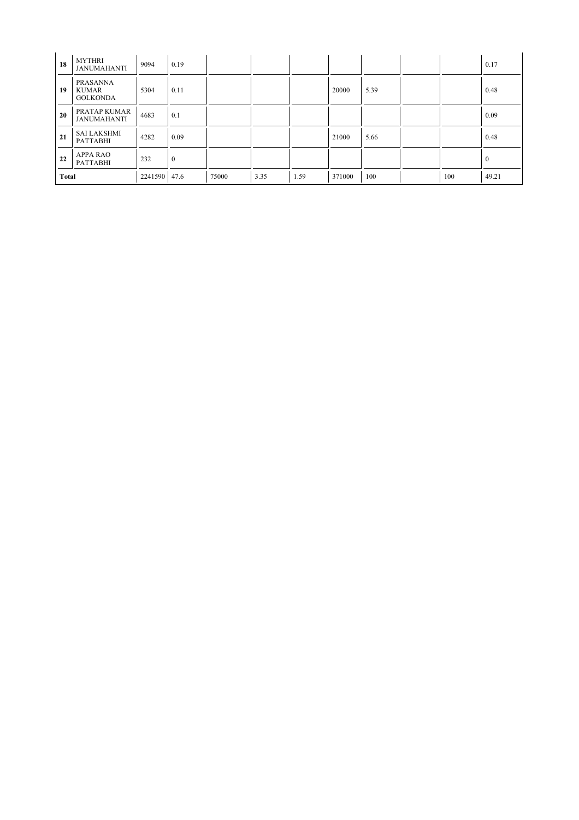| 18           | <b>MYTHRI</b><br><b>JANUMAHANTI</b>         | 9094    | 0.19             |       |      |      |        |      |     | 0.17         |
|--------------|---------------------------------------------|---------|------------------|-------|------|------|--------|------|-----|--------------|
| 19           | <b>PRASANNA</b><br>KUMAR<br><b>GOLKONDA</b> | 5304    | 0.11             |       |      |      | 20000  | 5.39 |     | 0.48         |
| 20           | PRATAP KUMAR<br><b>JANUMAHANTI</b>          | 4683    | 0.1              |       |      |      |        |      |     | 0.09         |
| 21           | <b>SAI LAKSHMI</b><br><b>PATTABHI</b>       | 4282    | 0.09             |       |      |      | 21000  | 5.66 |     | 0.48         |
| 22           | <b>APPA RAO</b><br><b>PATTABHI</b>          | 232     | $\boldsymbol{0}$ |       |      |      |        |      |     | $\mathbf{0}$ |
| <b>Total</b> |                                             | 2241590 | 47.6             | 75000 | 3.35 | 1.59 | 371000 | 100  | 100 | 49.21        |